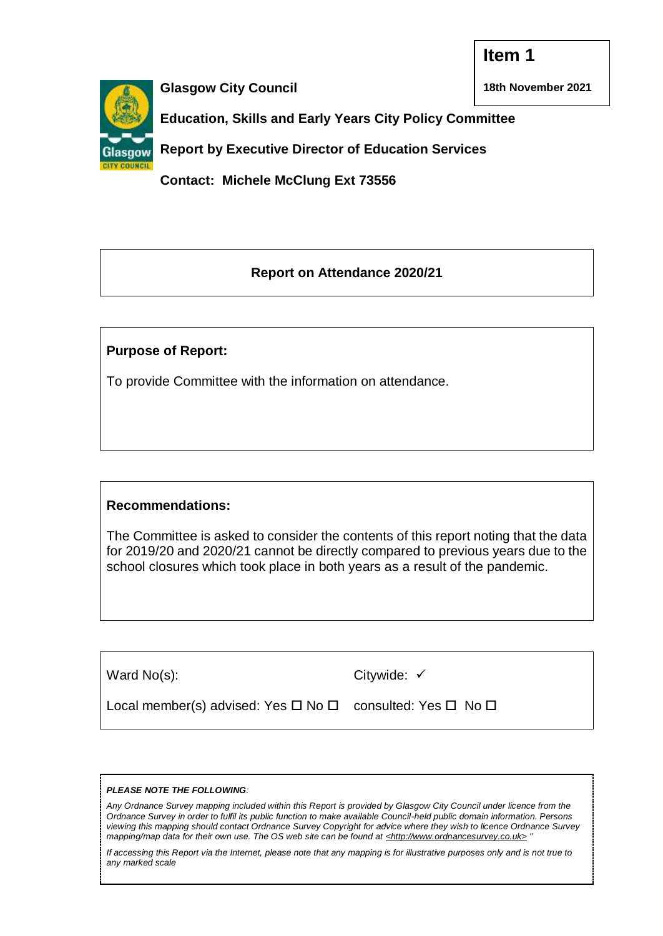**18th November 2021**



**Glasgow City Council**

**Education, Skills and Early Years City Policy Committee** 

**Report by Executive Director of Education Services**

**Contact: Michele McClung Ext 73556**

# **Report on Attendance 2020/21**

# **Purpose of Report:**

To provide Committee with the information on attendance.

# **Recommendations:**

The Committee is asked to consider the contents of this report noting that the data for 2019/20 and 2020/21 cannot be directly compared to previous years due to the school closures which took place in both years as a result of the pandemic.

| Ward No(s):                                               | Citywide: $\checkmark$ |
|-----------------------------------------------------------|------------------------|
| Local member(s) advised: Yes □ No □ consulted: Yes □ No □ |                        |

#### *PLEASE NOTE THE FOLLOWING:*

*Any Ordnance Survey mapping included within this Report is provided by Glasgow City Council under licence from the Ordnance Survey in order to fulfil its public function to make available Council-held public domain information. Persons viewing this mapping should contact Ordnance Survey Copyright for advice where they wish to licence Ordnance Survey mapping/map data for their own use. The OS web site can be found at <http://www.ordnancesurvey.co.uk> "*

*If accessing this Report via the Internet, please note that any mapping is for illustrative purposes only and is not true to any marked scale*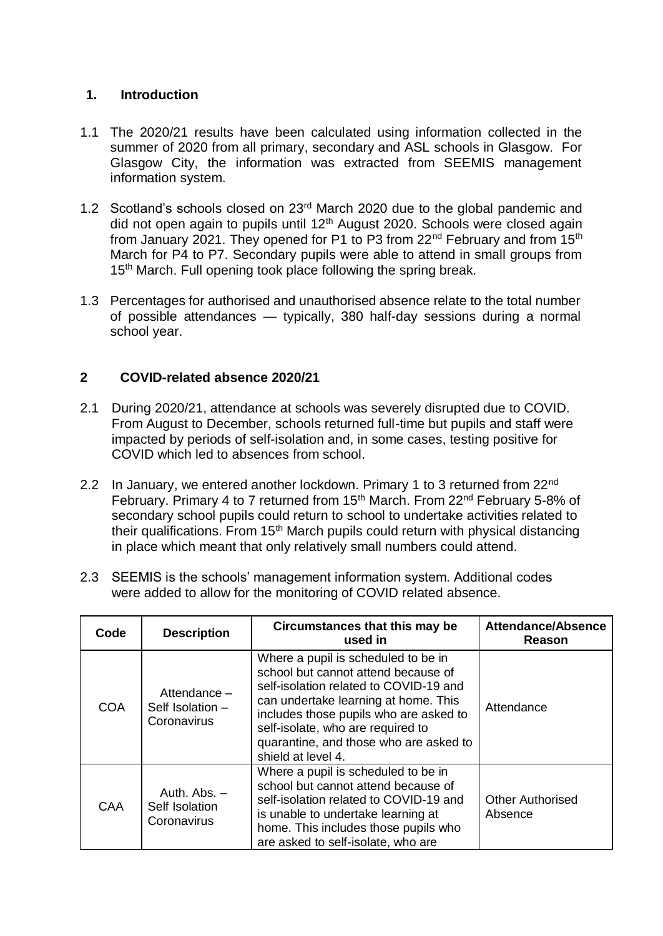## **1. Introduction**

- 1.1 The 2020/21 results have been calculated using information collected in the summer of 2020 from all primary, secondary and ASL schools in Glasgow. For Glasgow City, the information was extracted from SEEMIS management information system.
- 1.2 Scotland's schools closed on 23rd March 2020 due to the global pandemic and did not open again to pupils until 12<sup>th</sup> August 2020. Schools were closed again from January 2021. They opened for P1 to P3 from 22<sup>nd</sup> February and from 15<sup>th</sup> March for P4 to P7. Secondary pupils were able to attend in small groups from 15<sup>th</sup> March. Full opening took place following the spring break.
- 1.3 Percentages for authorised and unauthorised absence relate to the total number of possible attendances — typically, 380 half-day sessions during a normal school year.

# **2 COVID-related absence 2020/21**

- 2.1 During 2020/21, attendance at schools was severely disrupted due to COVID. From August to December, schools returned full-time but pupils and staff were impacted by periods of self-isolation and, in some cases, testing positive for COVID which led to absences from school.
- 2.2 In January, we entered another lockdown. Primary 1 to 3 returned from 22<sup>nd</sup> February. Primary 4 to 7 returned from 15<sup>th</sup> March. From 22<sup>nd</sup> February 5-8% of secondary school pupils could return to school to undertake activities related to their qualifications. From 15<sup>th</sup> March pupils could return with physical distancing in place which meant that only relatively small numbers could attend.
- 2.3 SEEMIS is the schools' management information system. Additional codes were added to allow for the monitoring of COVID related absence.

| Code       | <b>Description</b>                                          | Circumstances that this may be<br>used in                                                                                                                                                                                                                                                                   | <b>Attendance/Absence</b><br>Reason |
|------------|-------------------------------------------------------------|-------------------------------------------------------------------------------------------------------------------------------------------------------------------------------------------------------------------------------------------------------------------------------------------------------------|-------------------------------------|
| <b>COA</b> | Attendance -<br>Self Isolation -<br>Coronavirus             | Where a pupil is scheduled to be in<br>school but cannot attend because of<br>self-isolation related to COVID-19 and<br>can undertake learning at home. This<br>includes those pupils who are asked to<br>self-isolate, who are required to<br>quarantine, and those who are asked to<br>shield at level 4. | Attendance                          |
| <b>CAA</b> | Auth. $\mathsf{Abs}$ . $-$<br>Self Isolation<br>Coronavirus | Where a pupil is scheduled to be in<br>school but cannot attend because of<br>self-isolation related to COVID-19 and<br>is unable to undertake learning at<br>home. This includes those pupils who<br>are asked to self-isolate, who are                                                                    | <b>Other Authorised</b><br>Absence  |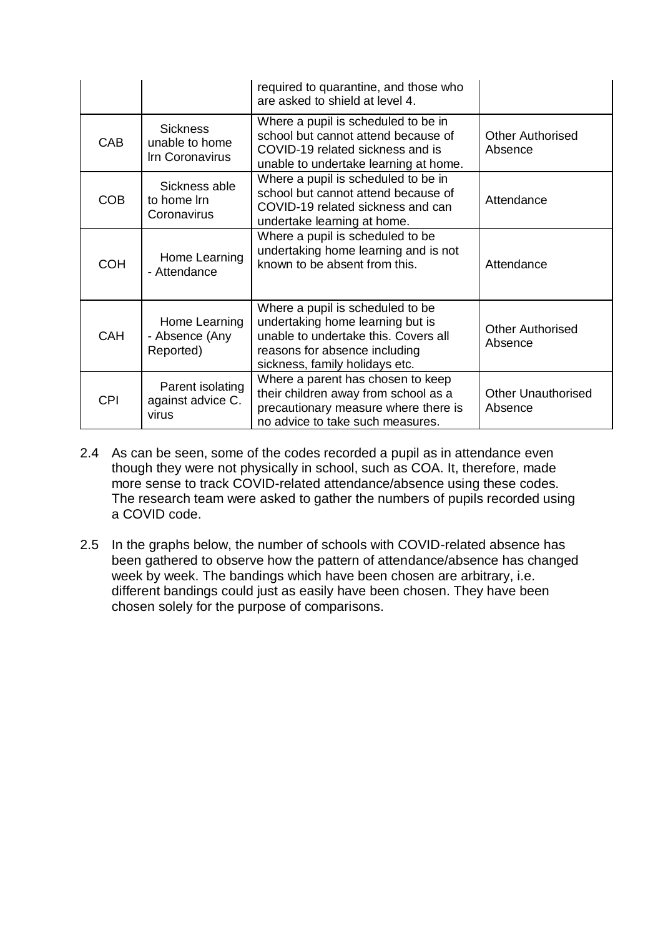|            |                                                      | required to quarantine, and those who<br>are asked to shield at level 4.                                                                                                        |                                      |
|------------|------------------------------------------------------|---------------------------------------------------------------------------------------------------------------------------------------------------------------------------------|--------------------------------------|
| CAB        | <b>Sickness</b><br>unable to home<br>Irn Coronavirus | Where a pupil is scheduled to be in<br>school but cannot attend because of<br>COVID-19 related sickness and is<br>unable to undertake learning at home.                         | <b>Other Authorised</b><br>Absence   |
| <b>COB</b> | Sickness able<br>to home Irn<br>Coronavirus          | Where a pupil is scheduled to be in<br>school but cannot attend because of<br>COVID-19 related sickness and can<br>undertake learning at home.                                  | Attendance                           |
| <b>COH</b> | Home Learning<br>- Attendance                        | Where a pupil is scheduled to be<br>undertaking home learning and is not<br>known to be absent from this.                                                                       | Attendance                           |
| <b>CAH</b> | Home Learning<br>- Absence (Any<br>Reported)         | Where a pupil is scheduled to be<br>undertaking home learning but is<br>unable to undertake this. Covers all<br>reasons for absence including<br>sickness, family holidays etc. | <b>Other Authorised</b><br>Absence   |
| <b>CPI</b> | Parent isolating<br>against advice C.<br>virus       | Where a parent has chosen to keep<br>their children away from school as a<br>precautionary measure where there is<br>no advice to take such measures.                           | <b>Other Unauthorised</b><br>Absence |

- 2.4 As can be seen, some of the codes recorded a pupil as in attendance even though they were not physically in school, such as COA. It, therefore, made more sense to track COVID-related attendance/absence using these codes. The research team were asked to gather the numbers of pupils recorded using a COVID code.
- 2.5 In the graphs below, the number of schools with COVID-related absence has been gathered to observe how the pattern of attendance/absence has changed week by week. The bandings which have been chosen are arbitrary, i.e. different bandings could just as easily have been chosen. They have been chosen solely for the purpose of comparisons.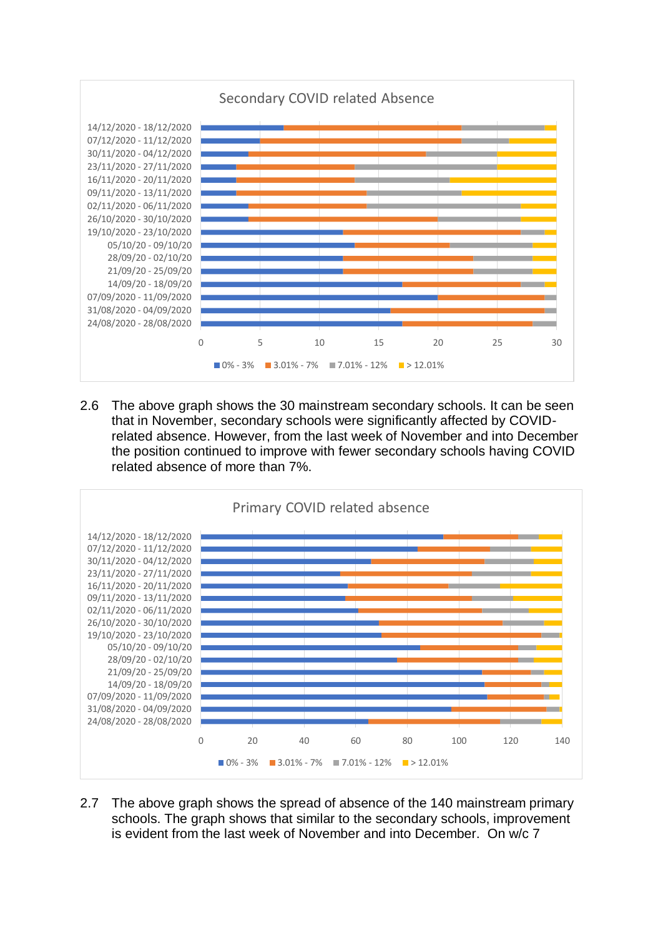

2.6 The above graph shows the 30 mainstream secondary schools. It can be seen that in November, secondary schools were significantly affected by COVIDrelated absence. However, from the last week of November and into December the position continued to improve with fewer secondary schools having COVID related absence of more than 7%.



2.7 The above graph shows the spread of absence of the 140 mainstream primary schools. The graph shows that similar to the secondary schools, improvement is evident from the last week of November and into December. On w/c 7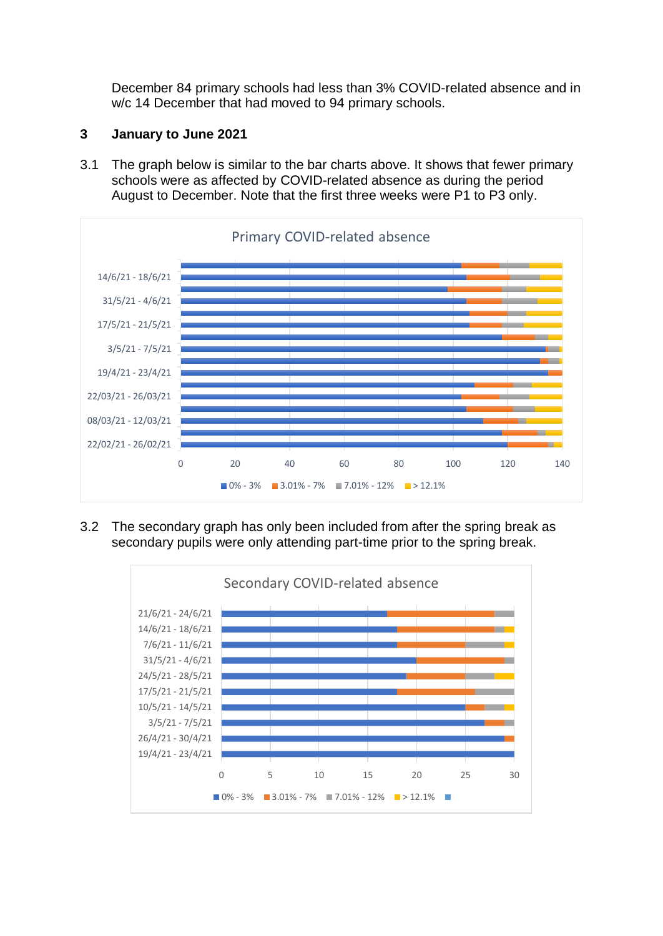December 84 primary schools had less than 3% COVID-related absence and in w/c 14 December that had moved to 94 primary schools.

## **3 January to June 2021**

3.1 The graph below is similar to the bar charts above. It shows that fewer primary schools were as affected by COVID-related absence as during the period August to December. Note that the first three weeks were P1 to P3 only.



3.2 The secondary graph has only been included from after the spring break as secondary pupils were only attending part-time prior to the spring break.

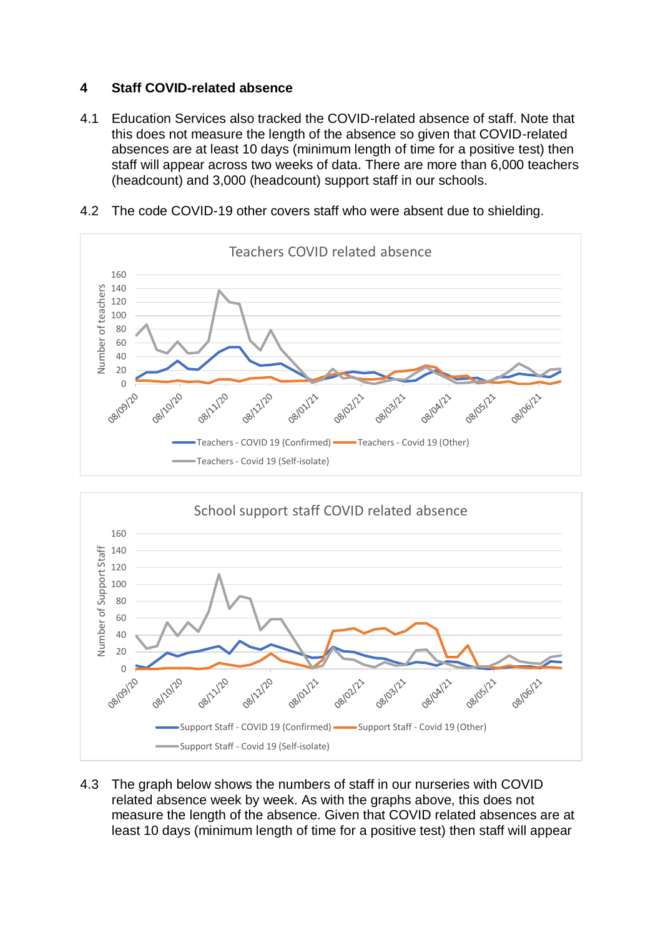# **4 Staff COVID-related absence**

4.1 Education Services also tracked the COVID-related absence of staff. Note that this does not measure the length of the absence so given that COVID-related absences are at least 10 days (minimum length of time for a positive test) then staff will appear across two weeks of data. There are more than 6,000 teachers (headcount) and 3,000 (headcount) support staff in our schools.







4.3 The graph below shows the numbers of staff in our nurseries with COVID related absence week by week. As with the graphs above, this does not measure the length of the absence. Given that COVID related absences are at least 10 days (minimum length of time for a positive test) then staff will appear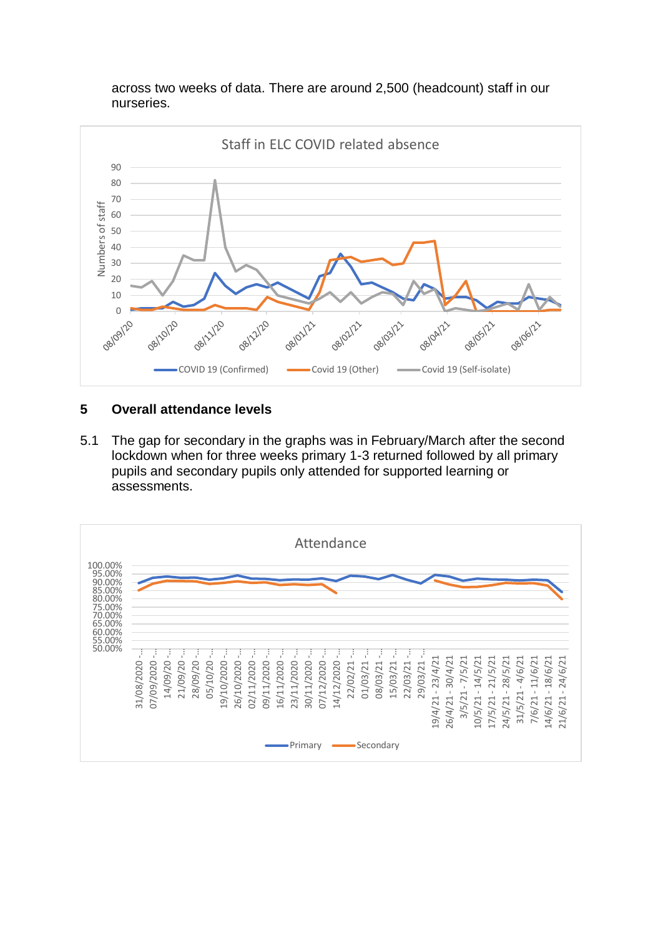across two weeks of data. There are around 2,500 (headcount) staff in our nurseries.



## **5 Overall attendance levels**

5.1 The gap for secondary in the graphs was in February/March after the second lockdown when for three weeks primary 1-3 returned followed by all primary pupils and secondary pupils only attended for supported learning or assessments.

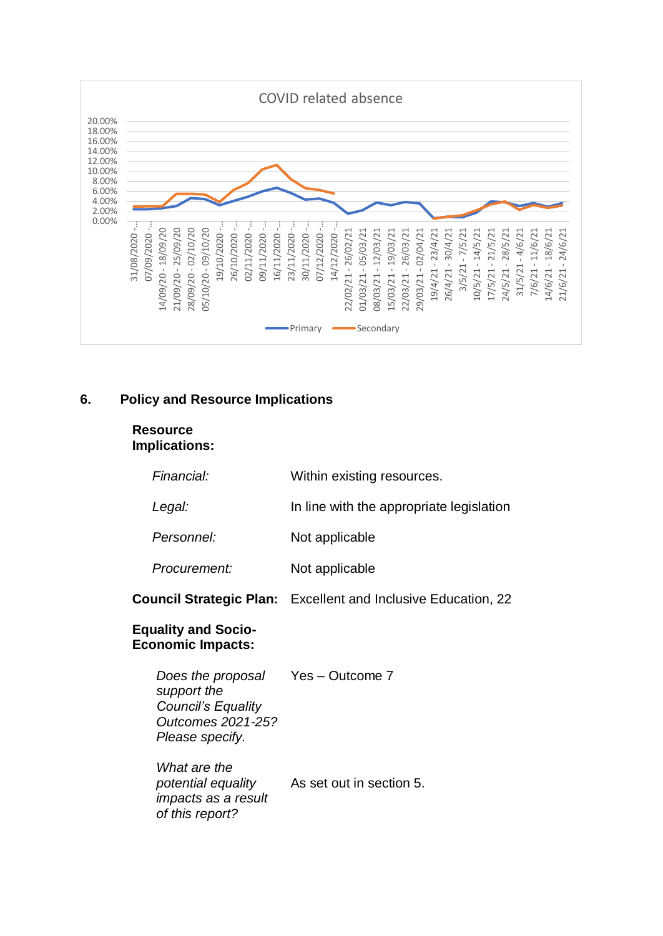

# **6. Policy and Resource Implications**

#### **Resource Implications:**

| Financial:                                                                                                            | Within existing resources.                                           |
|-----------------------------------------------------------------------------------------------------------------------|----------------------------------------------------------------------|
| Legal:                                                                                                                | In line with the appropriate legislation                             |
| Personnel:                                                                                                            | Not applicable                                                       |
| Procurement:                                                                                                          | Not applicable                                                       |
|                                                                                                                       | <b>Council Strategic Plan:</b> Excellent and Inclusive Education, 22 |
| <b>Equality and Socio-</b><br><b>Economic Impacts:</b>                                                                |                                                                      |
| Does the proposal Yes - Outcome 7<br>support the<br><b>Council's Equality</b><br>Outcomes 2021-25?<br>Please specify. |                                                                      |
| What are the<br><i>impacts as a result</i><br>of this report?                                                         | potential equality As set out in section 5.                          |